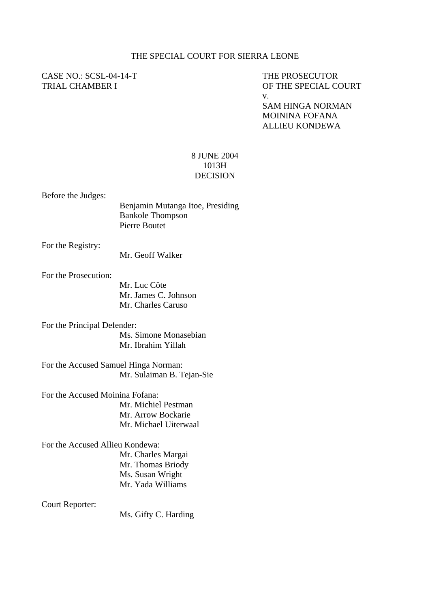#### THE SPECIAL COURT FOR SIERRA LEONE

# CASE NO.: SCSL-04-14-T THE PROSECUTOR

## TRIAL CHAMBER I OF THE SPECIAL COURT v.

SAM HINGA NORMAN MOININA FOFANA ALLIEU KONDEWA

### 8 JUNE 2004 1013H DECISION

Before the Judges:

| Benjamin Mutanga Itoe, Presiding |
|----------------------------------|
| <b>Bankole Thompson</b>          |
| Pierre Boutet                    |
|                                  |

For the Registry:

Mr. Geoff Walker

For the Prosecution:

Mr. Luc Côte Mr. James C. Johnson Mr. Charles Caruso

For the Principal Defender: Ms. Simone Monasebian Mr. Ibrahim Yillah

For the Accused Samuel Hinga Norman: Mr. Sulaiman B. Tejan-Sie

For the Accused Moinina Fofana: Mr. Michiel Pestman Mr. Arrow Bockarie Mr. Michael Uiterwaal

For the Accused Allieu Kondewa: Mr. Charles Margai

Mr. Thomas Briody Ms. Susan Wright Mr. Yada Williams

Court Reporter:

Ms. Gifty C. Harding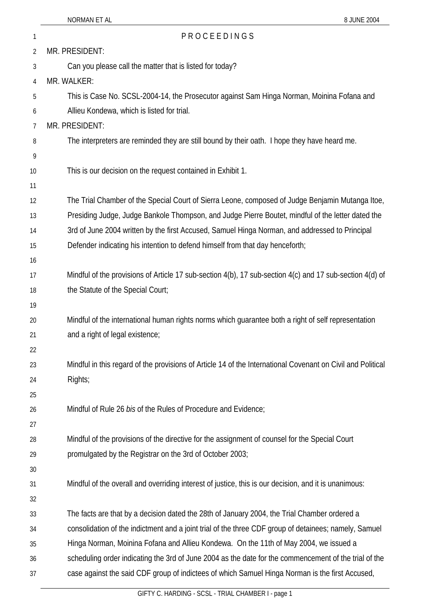### 1 P R O C E E D I N G S

|                | PROCEEDINGS                                                                                                 |
|----------------|-------------------------------------------------------------------------------------------------------------|
| $\overline{2}$ | MR. PRESIDENT:                                                                                              |
| 3              | Can you please call the matter that is listed for today?                                                    |
| 4              | MR. WALKER:                                                                                                 |
| 5              | This is Case No. SCSL-2004-14, the Prosecutor against Sam Hinga Norman, Moinina Fofana and                  |
| 6              | Allieu Kondewa, which is listed for trial.                                                                  |
| 7              | MR. PRESIDENT:                                                                                              |
| 8              | The interpreters are reminded they are still bound by their oath. I hope they have heard me.                |
| 9              |                                                                                                             |
| 10             | This is our decision on the request contained in Exhibit 1.                                                 |
| 11             |                                                                                                             |
| 12             | The Trial Chamber of the Special Court of Sierra Leone, composed of Judge Benjamin Mutanga Itoe,            |
| 13             | Presiding Judge, Judge Bankole Thompson, and Judge Pierre Boutet, mindful of the letter dated the           |
| 14             | 3rd of June 2004 written by the first Accused, Samuel Hinga Norman, and addressed to Principal              |
| 15             | Defender indicating his intention to defend himself from that day henceforth;                               |
| 16             |                                                                                                             |
| 17             | Mindful of the provisions of Article 17 sub-section 4(b), 17 sub-section 4(c) and 17 sub-section 4(d) of    |
| 18             | the Statute of the Special Court;                                                                           |
| 19             |                                                                                                             |
| 20             | Mindful of the international human rights norms which guarantee both a right of self representation         |
| 21             | and a right of legal existence;                                                                             |
| 22             |                                                                                                             |
| 23             | Mindful in this regard of the provisions of Article 14 of the International Covenant on Civil and Political |
| 24             | Rights;                                                                                                     |
| 25             |                                                                                                             |
| 26             | Mindful of Rule 26 bis of the Rules of Procedure and Evidence;                                              |
| 27             |                                                                                                             |
| 28             | Mindful of the provisions of the directive for the assignment of counsel for the Special Court              |
| 29             | promulgated by the Registrar on the 3rd of October 2003;                                                    |
| 30             |                                                                                                             |
| 31             | Mindful of the overall and overriding interest of justice, this is our decision, and it is unanimous:       |
| 32             |                                                                                                             |
| 33             | The facts are that by a decision dated the 28th of January 2004, the Trial Chamber ordered a                |
| 34             | consolidation of the indictment and a joint trial of the three CDF group of detainees; namely, Samuel       |
| 35             | Hinga Norman, Moinina Fofana and Allieu Kondewa. On the 11th of May 2004, we issued a                       |
| 36             | scheduling order indicating the 3rd of June 2004 as the date for the commencement of the trial of the       |
| 37             | case against the said CDF group of indictees of which Samuel Hinga Norman is the first Accused,             |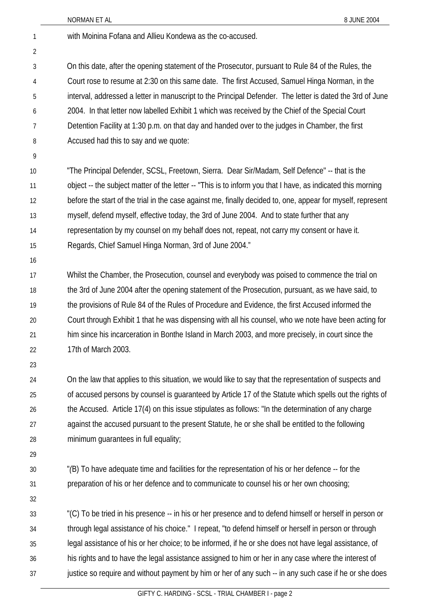|                | NORMAN ET AL<br>8 JUNE 2004                                                                                 |
|----------------|-------------------------------------------------------------------------------------------------------------|
| 1              | with Moinina Fofana and Allieu Kondewa as the co-accused.                                                   |
| $\overline{2}$ |                                                                                                             |
| 3              | On this date, after the opening statement of the Prosecutor, pursuant to Rule 84 of the Rules, the          |
| 4              | Court rose to resume at 2:30 on this same date. The first Accused, Samuel Hinga Norman, in the              |
| 5              | interval, addressed a letter in manuscript to the Principal Defender. The letter is dated the 3rd of June   |
| 6              | 2004. In that letter now labelled Exhibit 1 which was received by the Chief of the Special Court            |
| 7              | Detention Facility at 1:30 p.m. on that day and handed over to the judges in Chamber, the first             |
| 8              | Accused had this to say and we quote:                                                                       |
| 9              |                                                                                                             |
| 10             | "The Principal Defender, SCSL, Freetown, Sierra. Dear Sir/Madam, Self Defence" -- that is the               |
| 11             | object -- the subject matter of the letter -- "This is to inform you that I have, as indicated this morning |
| 12             | before the start of the trial in the case against me, finally decided to, one, appear for myself, represent |
| 13             | myself, defend myself, effective today, the 3rd of June 2004. And to state further that any                 |
| 14             | representation by my counsel on my behalf does not, repeat, not carry my consent or have it.                |
| 15             | Regards, Chief Samuel Hinga Norman, 3rd of June 2004."                                                      |
| 16             |                                                                                                             |
| 17             | Whilst the Chamber, the Prosecution, counsel and everybody was poised to commence the trial on              |
| 18             | the 3rd of June 2004 after the opening statement of the Prosecution, pursuant, as we have said, to          |
| 19             | the provisions of Rule 84 of the Rules of Procedure and Evidence, the first Accused informed the            |
| 20             | Court through Exhibit 1 that he was dispensing with all his counsel, who we note have been acting for       |
| 21             | him since his incarceration in Bonthe Island in March 2003, and more precisely, in court since the          |
| 22             | 17th of March 2003.                                                                                         |
| 23             |                                                                                                             |
| 24             | On the law that applies to this situation, we would like to say that the representation of suspects and     |
| 25             | of accused persons by counsel is guaranteed by Article 17 of the Statute which spells out the rights of     |
| 26             | the Accused. Article 17(4) on this issue stipulates as follows: "In the determination of any charge         |
| 27             | against the accused pursuant to the present Statute, he or she shall be entitled to the following           |
| 28             | minimum guarantees in full equality;                                                                        |
| 29             |                                                                                                             |
| 30             | "(B) To have adequate time and facilities for the representation of his or her defence -- for the           |
| 31             | preparation of his or her defence and to communicate to counsel his or her own choosing;                    |
| 32             |                                                                                                             |
| 33             | "(C) To be tried in his presence -- in his or her presence and to defend himself or herself in person or    |
| 34             | through legal assistance of his choice." I repeat, "to defend himself or herself in person or through       |
| 35             | legal assistance of his or her choice; to be informed, if he or she does not have legal assistance, of      |
| 36             | his rights and to have the legal assistance assigned to him or her in any case where the interest of        |
| 37             | justice so require and without payment by him or her of any such -- in any such case if he or she does      |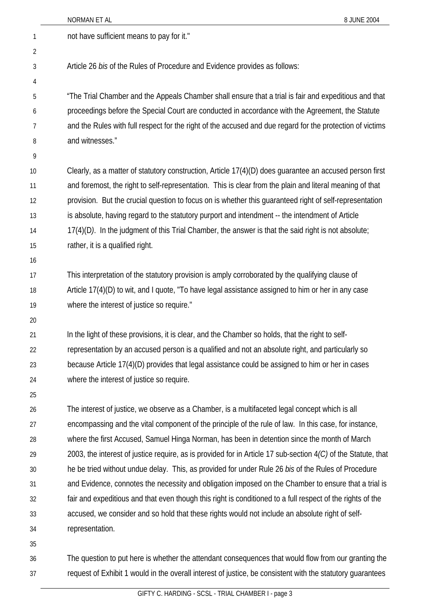| not have sufficient means to pay for it."<br>1<br>2<br>Article 26 bis of the Rules of Procedure and Evidence provides as follows:<br>3<br>4<br>"The Trial Chamber and the Appeals Chamber shall ensure that a trial is fair and expeditious and that<br>5<br>proceedings before the Special Court are conducted in accordance with the Agreement, the Statute<br>6<br>and the Rules with full respect for the right of the accused and due regard for the protection of victims<br>7<br>and witnesses."<br>8<br>9<br>Clearly, as a matter of statutory construction, Article 17(4)(D) does guarantee an accused person first<br>10<br>and foremost, the right to self-representation. This is clear from the plain and literal meaning of that<br>11<br>provision. But the crucial question to focus on is whether this guaranteed right of self-representation<br>12<br>is absolute, having regard to the statutory purport and intendment -- the intendment of Article<br>13<br>17(4)(D). In the judgment of this Trial Chamber, the answer is that the said right is not absolute;<br>14<br>rather, it is a qualified right.<br>15<br>16<br>This interpretation of the statutory provision is amply corroborated by the qualifying clause of<br>17<br>Article 17(4)(D) to wit, and I quote, "To have legal assistance assigned to him or her in any case<br>18<br>where the interest of justice so require."<br>19<br>20<br>In the light of these provisions, it is clear, and the Chamber so holds, that the right to self-<br>21<br>representation by an accused person is a qualified and not an absolute right, and particularly so<br>22<br>because Article 17(4)(D) provides that legal assistance could be assigned to him or her in cases<br>23<br>where the interest of justice so require.<br>24<br>25<br>The interest of justice, we observe as a Chamber, is a multifaceted legal concept which is all<br>26<br>encompassing and the vital component of the principle of the rule of law. In this case, for instance,<br>27<br>where the first Accused, Samuel Hinga Norman, has been in detention since the month of March<br>28<br>2003, the interest of justice require, as is provided for in Article 17 sub-section $4/C$ ) of the Statute, that<br>29<br>he be tried without undue delay. This, as provided for under Rule 26 bis of the Rules of Procedure<br>30<br>and Evidence, connotes the necessity and obligation imposed on the Chamber to ensure that a trial is<br>31<br>fair and expeditious and that even though this right is conditioned to a full respect of the rights of the<br>32<br>accused, we consider and so hold that these rights would not include an absolute right of self-<br>33<br>representation.<br>34<br>35<br>The question to put here is whether the attendant consequences that would flow from our granting the<br>36 |    | NORMAN ET AL<br>8 JUNE 2004                                                                                |
|--------------------------------------------------------------------------------------------------------------------------------------------------------------------------------------------------------------------------------------------------------------------------------------------------------------------------------------------------------------------------------------------------------------------------------------------------------------------------------------------------------------------------------------------------------------------------------------------------------------------------------------------------------------------------------------------------------------------------------------------------------------------------------------------------------------------------------------------------------------------------------------------------------------------------------------------------------------------------------------------------------------------------------------------------------------------------------------------------------------------------------------------------------------------------------------------------------------------------------------------------------------------------------------------------------------------------------------------------------------------------------------------------------------------------------------------------------------------------------------------------------------------------------------------------------------------------------------------------------------------------------------------------------------------------------------------------------------------------------------------------------------------------------------------------------------------------------------------------------------------------------------------------------------------------------------------------------------------------------------------------------------------------------------------------------------------------------------------------------------------------------------------------------------------------------------------------------------------------------------------------------------------------------------------------------------------------------------------------------------------------------------------------------------------------------------------------------------------------------------------------------------------------------------------------------------------------------------------------------------------------------------------------------------------------------------------------------------------------------------------------------------------------------------------------------------------------------------------------------------------------------|----|------------------------------------------------------------------------------------------------------------|
|                                                                                                                                                                                                                                                                                                                                                                                                                                                                                                                                                                                                                                                                                                                                                                                                                                                                                                                                                                                                                                                                                                                                                                                                                                                                                                                                                                                                                                                                                                                                                                                                                                                                                                                                                                                                                                                                                                                                                                                                                                                                                                                                                                                                                                                                                                                                                                                                                                                                                                                                                                                                                                                                                                                                                                                                                                                                                |    |                                                                                                            |
|                                                                                                                                                                                                                                                                                                                                                                                                                                                                                                                                                                                                                                                                                                                                                                                                                                                                                                                                                                                                                                                                                                                                                                                                                                                                                                                                                                                                                                                                                                                                                                                                                                                                                                                                                                                                                                                                                                                                                                                                                                                                                                                                                                                                                                                                                                                                                                                                                                                                                                                                                                                                                                                                                                                                                                                                                                                                                |    |                                                                                                            |
|                                                                                                                                                                                                                                                                                                                                                                                                                                                                                                                                                                                                                                                                                                                                                                                                                                                                                                                                                                                                                                                                                                                                                                                                                                                                                                                                                                                                                                                                                                                                                                                                                                                                                                                                                                                                                                                                                                                                                                                                                                                                                                                                                                                                                                                                                                                                                                                                                                                                                                                                                                                                                                                                                                                                                                                                                                                                                |    |                                                                                                            |
|                                                                                                                                                                                                                                                                                                                                                                                                                                                                                                                                                                                                                                                                                                                                                                                                                                                                                                                                                                                                                                                                                                                                                                                                                                                                                                                                                                                                                                                                                                                                                                                                                                                                                                                                                                                                                                                                                                                                                                                                                                                                                                                                                                                                                                                                                                                                                                                                                                                                                                                                                                                                                                                                                                                                                                                                                                                                                |    |                                                                                                            |
|                                                                                                                                                                                                                                                                                                                                                                                                                                                                                                                                                                                                                                                                                                                                                                                                                                                                                                                                                                                                                                                                                                                                                                                                                                                                                                                                                                                                                                                                                                                                                                                                                                                                                                                                                                                                                                                                                                                                                                                                                                                                                                                                                                                                                                                                                                                                                                                                                                                                                                                                                                                                                                                                                                                                                                                                                                                                                |    |                                                                                                            |
|                                                                                                                                                                                                                                                                                                                                                                                                                                                                                                                                                                                                                                                                                                                                                                                                                                                                                                                                                                                                                                                                                                                                                                                                                                                                                                                                                                                                                                                                                                                                                                                                                                                                                                                                                                                                                                                                                                                                                                                                                                                                                                                                                                                                                                                                                                                                                                                                                                                                                                                                                                                                                                                                                                                                                                                                                                                                                |    |                                                                                                            |
|                                                                                                                                                                                                                                                                                                                                                                                                                                                                                                                                                                                                                                                                                                                                                                                                                                                                                                                                                                                                                                                                                                                                                                                                                                                                                                                                                                                                                                                                                                                                                                                                                                                                                                                                                                                                                                                                                                                                                                                                                                                                                                                                                                                                                                                                                                                                                                                                                                                                                                                                                                                                                                                                                                                                                                                                                                                                                |    |                                                                                                            |
|                                                                                                                                                                                                                                                                                                                                                                                                                                                                                                                                                                                                                                                                                                                                                                                                                                                                                                                                                                                                                                                                                                                                                                                                                                                                                                                                                                                                                                                                                                                                                                                                                                                                                                                                                                                                                                                                                                                                                                                                                                                                                                                                                                                                                                                                                                                                                                                                                                                                                                                                                                                                                                                                                                                                                                                                                                                                                |    |                                                                                                            |
|                                                                                                                                                                                                                                                                                                                                                                                                                                                                                                                                                                                                                                                                                                                                                                                                                                                                                                                                                                                                                                                                                                                                                                                                                                                                                                                                                                                                                                                                                                                                                                                                                                                                                                                                                                                                                                                                                                                                                                                                                                                                                                                                                                                                                                                                                                                                                                                                                                                                                                                                                                                                                                                                                                                                                                                                                                                                                |    |                                                                                                            |
|                                                                                                                                                                                                                                                                                                                                                                                                                                                                                                                                                                                                                                                                                                                                                                                                                                                                                                                                                                                                                                                                                                                                                                                                                                                                                                                                                                                                                                                                                                                                                                                                                                                                                                                                                                                                                                                                                                                                                                                                                                                                                                                                                                                                                                                                                                                                                                                                                                                                                                                                                                                                                                                                                                                                                                                                                                                                                |    |                                                                                                            |
|                                                                                                                                                                                                                                                                                                                                                                                                                                                                                                                                                                                                                                                                                                                                                                                                                                                                                                                                                                                                                                                                                                                                                                                                                                                                                                                                                                                                                                                                                                                                                                                                                                                                                                                                                                                                                                                                                                                                                                                                                                                                                                                                                                                                                                                                                                                                                                                                                                                                                                                                                                                                                                                                                                                                                                                                                                                                                |    |                                                                                                            |
|                                                                                                                                                                                                                                                                                                                                                                                                                                                                                                                                                                                                                                                                                                                                                                                                                                                                                                                                                                                                                                                                                                                                                                                                                                                                                                                                                                                                                                                                                                                                                                                                                                                                                                                                                                                                                                                                                                                                                                                                                                                                                                                                                                                                                                                                                                                                                                                                                                                                                                                                                                                                                                                                                                                                                                                                                                                                                |    |                                                                                                            |
|                                                                                                                                                                                                                                                                                                                                                                                                                                                                                                                                                                                                                                                                                                                                                                                                                                                                                                                                                                                                                                                                                                                                                                                                                                                                                                                                                                                                                                                                                                                                                                                                                                                                                                                                                                                                                                                                                                                                                                                                                                                                                                                                                                                                                                                                                                                                                                                                                                                                                                                                                                                                                                                                                                                                                                                                                                                                                |    |                                                                                                            |
|                                                                                                                                                                                                                                                                                                                                                                                                                                                                                                                                                                                                                                                                                                                                                                                                                                                                                                                                                                                                                                                                                                                                                                                                                                                                                                                                                                                                                                                                                                                                                                                                                                                                                                                                                                                                                                                                                                                                                                                                                                                                                                                                                                                                                                                                                                                                                                                                                                                                                                                                                                                                                                                                                                                                                                                                                                                                                |    |                                                                                                            |
|                                                                                                                                                                                                                                                                                                                                                                                                                                                                                                                                                                                                                                                                                                                                                                                                                                                                                                                                                                                                                                                                                                                                                                                                                                                                                                                                                                                                                                                                                                                                                                                                                                                                                                                                                                                                                                                                                                                                                                                                                                                                                                                                                                                                                                                                                                                                                                                                                                                                                                                                                                                                                                                                                                                                                                                                                                                                                |    |                                                                                                            |
|                                                                                                                                                                                                                                                                                                                                                                                                                                                                                                                                                                                                                                                                                                                                                                                                                                                                                                                                                                                                                                                                                                                                                                                                                                                                                                                                                                                                                                                                                                                                                                                                                                                                                                                                                                                                                                                                                                                                                                                                                                                                                                                                                                                                                                                                                                                                                                                                                                                                                                                                                                                                                                                                                                                                                                                                                                                                                |    |                                                                                                            |
|                                                                                                                                                                                                                                                                                                                                                                                                                                                                                                                                                                                                                                                                                                                                                                                                                                                                                                                                                                                                                                                                                                                                                                                                                                                                                                                                                                                                                                                                                                                                                                                                                                                                                                                                                                                                                                                                                                                                                                                                                                                                                                                                                                                                                                                                                                                                                                                                                                                                                                                                                                                                                                                                                                                                                                                                                                                                                |    |                                                                                                            |
|                                                                                                                                                                                                                                                                                                                                                                                                                                                                                                                                                                                                                                                                                                                                                                                                                                                                                                                                                                                                                                                                                                                                                                                                                                                                                                                                                                                                                                                                                                                                                                                                                                                                                                                                                                                                                                                                                                                                                                                                                                                                                                                                                                                                                                                                                                                                                                                                                                                                                                                                                                                                                                                                                                                                                                                                                                                                                |    |                                                                                                            |
|                                                                                                                                                                                                                                                                                                                                                                                                                                                                                                                                                                                                                                                                                                                                                                                                                                                                                                                                                                                                                                                                                                                                                                                                                                                                                                                                                                                                                                                                                                                                                                                                                                                                                                                                                                                                                                                                                                                                                                                                                                                                                                                                                                                                                                                                                                                                                                                                                                                                                                                                                                                                                                                                                                                                                                                                                                                                                |    |                                                                                                            |
|                                                                                                                                                                                                                                                                                                                                                                                                                                                                                                                                                                                                                                                                                                                                                                                                                                                                                                                                                                                                                                                                                                                                                                                                                                                                                                                                                                                                                                                                                                                                                                                                                                                                                                                                                                                                                                                                                                                                                                                                                                                                                                                                                                                                                                                                                                                                                                                                                                                                                                                                                                                                                                                                                                                                                                                                                                                                                |    |                                                                                                            |
|                                                                                                                                                                                                                                                                                                                                                                                                                                                                                                                                                                                                                                                                                                                                                                                                                                                                                                                                                                                                                                                                                                                                                                                                                                                                                                                                                                                                                                                                                                                                                                                                                                                                                                                                                                                                                                                                                                                                                                                                                                                                                                                                                                                                                                                                                                                                                                                                                                                                                                                                                                                                                                                                                                                                                                                                                                                                                |    |                                                                                                            |
|                                                                                                                                                                                                                                                                                                                                                                                                                                                                                                                                                                                                                                                                                                                                                                                                                                                                                                                                                                                                                                                                                                                                                                                                                                                                                                                                                                                                                                                                                                                                                                                                                                                                                                                                                                                                                                                                                                                                                                                                                                                                                                                                                                                                                                                                                                                                                                                                                                                                                                                                                                                                                                                                                                                                                                                                                                                                                |    |                                                                                                            |
|                                                                                                                                                                                                                                                                                                                                                                                                                                                                                                                                                                                                                                                                                                                                                                                                                                                                                                                                                                                                                                                                                                                                                                                                                                                                                                                                                                                                                                                                                                                                                                                                                                                                                                                                                                                                                                                                                                                                                                                                                                                                                                                                                                                                                                                                                                                                                                                                                                                                                                                                                                                                                                                                                                                                                                                                                                                                                |    |                                                                                                            |
|                                                                                                                                                                                                                                                                                                                                                                                                                                                                                                                                                                                                                                                                                                                                                                                                                                                                                                                                                                                                                                                                                                                                                                                                                                                                                                                                                                                                                                                                                                                                                                                                                                                                                                                                                                                                                                                                                                                                                                                                                                                                                                                                                                                                                                                                                                                                                                                                                                                                                                                                                                                                                                                                                                                                                                                                                                                                                |    |                                                                                                            |
|                                                                                                                                                                                                                                                                                                                                                                                                                                                                                                                                                                                                                                                                                                                                                                                                                                                                                                                                                                                                                                                                                                                                                                                                                                                                                                                                                                                                                                                                                                                                                                                                                                                                                                                                                                                                                                                                                                                                                                                                                                                                                                                                                                                                                                                                                                                                                                                                                                                                                                                                                                                                                                                                                                                                                                                                                                                                                |    |                                                                                                            |
|                                                                                                                                                                                                                                                                                                                                                                                                                                                                                                                                                                                                                                                                                                                                                                                                                                                                                                                                                                                                                                                                                                                                                                                                                                                                                                                                                                                                                                                                                                                                                                                                                                                                                                                                                                                                                                                                                                                                                                                                                                                                                                                                                                                                                                                                                                                                                                                                                                                                                                                                                                                                                                                                                                                                                                                                                                                                                |    |                                                                                                            |
|                                                                                                                                                                                                                                                                                                                                                                                                                                                                                                                                                                                                                                                                                                                                                                                                                                                                                                                                                                                                                                                                                                                                                                                                                                                                                                                                                                                                                                                                                                                                                                                                                                                                                                                                                                                                                                                                                                                                                                                                                                                                                                                                                                                                                                                                                                                                                                                                                                                                                                                                                                                                                                                                                                                                                                                                                                                                                |    |                                                                                                            |
|                                                                                                                                                                                                                                                                                                                                                                                                                                                                                                                                                                                                                                                                                                                                                                                                                                                                                                                                                                                                                                                                                                                                                                                                                                                                                                                                                                                                                                                                                                                                                                                                                                                                                                                                                                                                                                                                                                                                                                                                                                                                                                                                                                                                                                                                                                                                                                                                                                                                                                                                                                                                                                                                                                                                                                                                                                                                                |    |                                                                                                            |
|                                                                                                                                                                                                                                                                                                                                                                                                                                                                                                                                                                                                                                                                                                                                                                                                                                                                                                                                                                                                                                                                                                                                                                                                                                                                                                                                                                                                                                                                                                                                                                                                                                                                                                                                                                                                                                                                                                                                                                                                                                                                                                                                                                                                                                                                                                                                                                                                                                                                                                                                                                                                                                                                                                                                                                                                                                                                                |    |                                                                                                            |
|                                                                                                                                                                                                                                                                                                                                                                                                                                                                                                                                                                                                                                                                                                                                                                                                                                                                                                                                                                                                                                                                                                                                                                                                                                                                                                                                                                                                                                                                                                                                                                                                                                                                                                                                                                                                                                                                                                                                                                                                                                                                                                                                                                                                                                                                                                                                                                                                                                                                                                                                                                                                                                                                                                                                                                                                                                                                                |    |                                                                                                            |
|                                                                                                                                                                                                                                                                                                                                                                                                                                                                                                                                                                                                                                                                                                                                                                                                                                                                                                                                                                                                                                                                                                                                                                                                                                                                                                                                                                                                                                                                                                                                                                                                                                                                                                                                                                                                                                                                                                                                                                                                                                                                                                                                                                                                                                                                                                                                                                                                                                                                                                                                                                                                                                                                                                                                                                                                                                                                                |    |                                                                                                            |
|                                                                                                                                                                                                                                                                                                                                                                                                                                                                                                                                                                                                                                                                                                                                                                                                                                                                                                                                                                                                                                                                                                                                                                                                                                                                                                                                                                                                                                                                                                                                                                                                                                                                                                                                                                                                                                                                                                                                                                                                                                                                                                                                                                                                                                                                                                                                                                                                                                                                                                                                                                                                                                                                                                                                                                                                                                                                                |    |                                                                                                            |
|                                                                                                                                                                                                                                                                                                                                                                                                                                                                                                                                                                                                                                                                                                                                                                                                                                                                                                                                                                                                                                                                                                                                                                                                                                                                                                                                                                                                                                                                                                                                                                                                                                                                                                                                                                                                                                                                                                                                                                                                                                                                                                                                                                                                                                                                                                                                                                                                                                                                                                                                                                                                                                                                                                                                                                                                                                                                                |    |                                                                                                            |
|                                                                                                                                                                                                                                                                                                                                                                                                                                                                                                                                                                                                                                                                                                                                                                                                                                                                                                                                                                                                                                                                                                                                                                                                                                                                                                                                                                                                                                                                                                                                                                                                                                                                                                                                                                                                                                                                                                                                                                                                                                                                                                                                                                                                                                                                                                                                                                                                                                                                                                                                                                                                                                                                                                                                                                                                                                                                                |    |                                                                                                            |
|                                                                                                                                                                                                                                                                                                                                                                                                                                                                                                                                                                                                                                                                                                                                                                                                                                                                                                                                                                                                                                                                                                                                                                                                                                                                                                                                                                                                                                                                                                                                                                                                                                                                                                                                                                                                                                                                                                                                                                                                                                                                                                                                                                                                                                                                                                                                                                                                                                                                                                                                                                                                                                                                                                                                                                                                                                                                                |    |                                                                                                            |
|                                                                                                                                                                                                                                                                                                                                                                                                                                                                                                                                                                                                                                                                                                                                                                                                                                                                                                                                                                                                                                                                                                                                                                                                                                                                                                                                                                                                                                                                                                                                                                                                                                                                                                                                                                                                                                                                                                                                                                                                                                                                                                                                                                                                                                                                                                                                                                                                                                                                                                                                                                                                                                                                                                                                                                                                                                                                                | 37 | request of Exhibit 1 would in the overall interest of justice, be consistent with the statutory guarantees |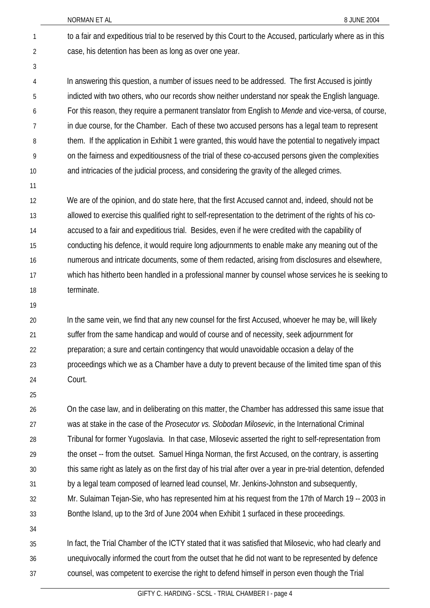to a fair and expeditious trial to be reserved by this Court to the Accused, particularly where as in this case, his detention has been as long as over one year. 1 2

4 5 6 7 8 9 10 In answering this question, a number of issues need to be addressed. The first Accused is jointly indicted with two others, who our records show neither understand nor speak the English language. For this reason, they require a permanent translator from English to *Mende* and vice-versa, of course, in due course, for the Chamber. Each of these two accused persons has a legal team to represent them. If the application in Exhibit 1 were granted, this would have the potential to negatively impact on the fairness and expeditiousness of the trial of these co-accused persons given the complexities and intricacies of the judicial process, and considering the gravity of the alleged crimes.

11

3

12 13 14 15 16 17 18 We are of the opinion, and do state here, that the first Accused cannot and, indeed, should not be allowed to exercise this qualified right to self-representation to the detriment of the rights of his coaccused to a fair and expeditious trial. Besides, even if he were credited with the capability of conducting his defence, it would require long adjournments to enable make any meaning out of the numerous and intricate documents, some of them redacted, arising from disclosures and elsewhere, which has hitherto been handled in a professional manner by counsel whose services he is seeking to terminate.

19

20 21 22 23 24 In the same vein, we find that any new counsel for the first Accused, whoever he may be, will likely suffer from the same handicap and would of course and of necessity, seek adjournment for preparation; a sure and certain contingency that would unavoidable occasion a delay of the proceedings which we as a Chamber have a duty to prevent because of the limited time span of this Court.

25

26 27 28 29 30 31 32 33 On the case law, and in deliberating on this matter, the Chamber has addressed this same issue that was at stake in the case of the *Prosecutor vs. Slobodan Milosevic*, in the International Criminal Tribunal for former Yugoslavia. In that case, Milosevic asserted the right to self-representation from the onset -- from the outset. Samuel Hinga Norman, the first Accused, on the contrary, is asserting this same right as lately as on the first day of his trial after over a year in pre-trial detention, defended by a legal team composed of learned lead counsel, Mr. Jenkins-Johnston and subsequently, Mr. Sulaiman Tejan-Sie, who has represented him at his request from the 17th of March 19 -- 2003 in Bonthe Island, up to the 3rd of June 2004 when Exhibit 1 surfaced in these proceedings.

34

35 36 37 In fact, the Trial Chamber of the ICTY stated that it was satisfied that Milosevic, who had clearly and unequivocally informed the court from the outset that he did not want to be represented by defence counsel, was competent to exercise the right to defend himself in person even though the Trial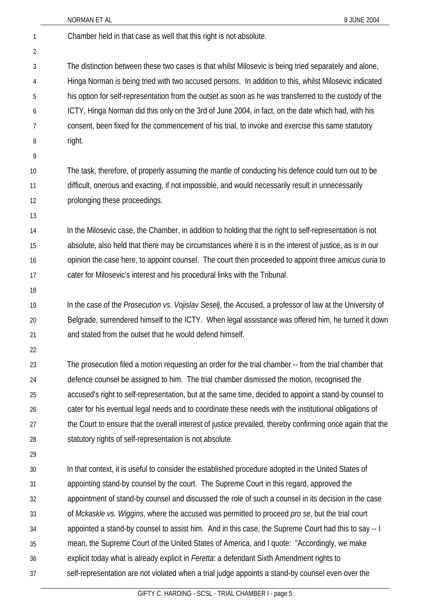|    | NORMAN ET AL<br>8 JUNE 2004                                                                                 |
|----|-------------------------------------------------------------------------------------------------------------|
| 1  | Chamber held in that case as well that this right is not absolute.                                          |
| 2  |                                                                                                             |
| 3  | The distinction between these two cases is that whilst Milosevic is being tried separately and alone,       |
| 4  | Hinga Norman is being tried with two accused persons. In addition to this, whilst Milosevic indicated       |
| 5  | his option for self-representation from the outset as soon as he was transferred to the custody of the      |
| 6  | ICTY, Hinga Norman did this only on the 3rd of June 2004, in fact, on the date which had, with his          |
| 7  | consent, been fixed for the commencement of his trial, to invoke and exercise this same statutory           |
| 8  | right.                                                                                                      |
| 9  |                                                                                                             |
| 10 | The task, therefore, of properly assuming the mantle of conducting his defence could turn out to be         |
| 11 | difficult, onerous and exacting, if not impossible, and would necessarily result in unnecessarily           |
| 12 | prolonging these proceedings.                                                                               |
| 13 |                                                                                                             |
| 14 | In the Milosevic case, the Chamber, in addition to holding that the right to self-representation is not     |
| 15 | absolute, also held that there may be circumstances where it is in the interest of justice, as is in our    |
| 16 | opinion the case here, to appoint counsel. The court then proceeded to appoint three <i>amicus curia</i> to |
| 17 | cater for Milosevic's interest and his procedural links with the Tribunal.                                  |
| 18 |                                                                                                             |
| 19 | In the case of the Prosecution vs. Vojislav Seselj, the Accused, a professor of law at the University of    |
| 20 | Belgrade, surrendered himself to the ICTY. When legal assistance was offered him, he turned it down         |
| 21 | and stated from the outset that he would defend himself.                                                    |
| 22 |                                                                                                             |
| 23 | The prosecution filed a motion requesting an order for the trial chamber -- from the trial chamber that     |
| 24 | defence counsel be assigned to him. The trial chamber dismissed the motion, recognised the                  |
| 25 | accused's right to self-representation, but at the same time, decided to appoint a stand-by counsel to      |
| 26 | cater for his eventual legal needs and to coordinate these needs with the institutional obligations of      |
| 27 | the Court to ensure that the overall interest of justice prevailed, thereby confirming once again that the  |
| 28 | statutory rights of self-representation is not absolute.                                                    |
| 29 |                                                                                                             |
| 30 | In that context, it is useful to consider the established procedure adopted in the United States of         |
| 31 | appointing stand-by counsel by the court. The Supreme Court in this regard, approved the                    |
| 32 | appointment of stand-by counsel and discussed the role of such a counsel in its decision in the case        |
| 33 | of Mckaskle vs. Wiggins, where the accused was permitted to proceed pro se, but the trial court             |
| 34 | appointed a stand-by counsel to assist him. And in this case, the Supreme Court had this to say -- I        |
| 35 | mean, the Supreme Court of the United States of America, and I quote: "Accordingly, we make                 |
| 36 | explicit today what is already explicit in <i>Feretta</i> : a defendant Sixth Amendment rights to           |
| 37 | self-representation are not violated when a trial judge appoints a stand-by counsel even over the           |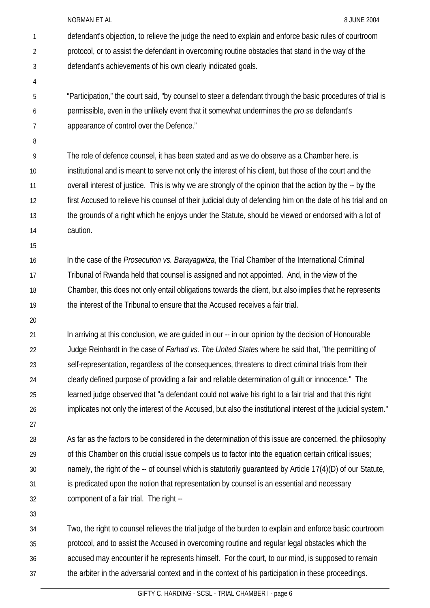| NORMAN ET AL |  |
|--------------|--|
|              |  |

|                | NORMAN ET AL<br>8 JUNE 2004                                                                                   |
|----------------|---------------------------------------------------------------------------------------------------------------|
| 1              | defendant's objection, to relieve the judge the need to explain and enforce basic rules of courtroom          |
| $\overline{2}$ | protocol, or to assist the defendant in overcoming routine obstacles that stand in the way of the             |
| 3              | defendant's achievements of his own clearly indicated goals.                                                  |
| 4              |                                                                                                               |
| 5              | "Participation," the court said, "by counsel to steer a defendant through the basic procedures of trial is    |
| 6              | permissible, even in the unlikely event that it somewhat undermines the pro se defendant's                    |
| 7              | appearance of control over the Defence."                                                                      |
| 8              |                                                                                                               |
| 9              | The role of defence counsel, it has been stated and as we do observe as a Chamber here, is                    |
| 10             | institutional and is meant to serve not only the interest of his client, but those of the court and the       |
| 11             | overall interest of justice. This is why we are strongly of the opinion that the action by the -- by the      |
| 12             | first Accused to relieve his counsel of their judicial duty of defending him on the date of his trial and on  |
| 13             | the grounds of a right which he enjoys under the Statute, should be viewed or endorsed with a lot of          |
| 14             | caution.                                                                                                      |
| 15             |                                                                                                               |
| 16             | In the case of the <i>Prosecution vs. Barayagwiza</i> , the Trial Chamber of the International Criminal       |
| 17             | Tribunal of Rwanda held that counsel is assigned and not appointed. And, in the view of the                   |
| 18             | Chamber, this does not only entail obligations towards the client, but also implies that he represents        |
| 19             | the interest of the Tribunal to ensure that the Accused receives a fair trial.                                |
| 20             |                                                                                                               |
| 21             | In arriving at this conclusion, we are guided in our -- in our opinion by the decision of Honourable          |
| 22             | Judge Reinhardt in the case of <i>Farhad vs. The United States</i> where he said that, "the permitting of     |
| 23             | self-representation, regardless of the consequences, threatens to direct criminal trials from their           |
| 24             | clearly defined purpose of providing a fair and reliable determination of guilt or innocence." The            |
| 25             | learned judge observed that "a defendant could not waive his right to a fair trial and that this right        |
| 26             | implicates not only the interest of the Accused, but also the institutional interest of the judicial system." |
| 27             |                                                                                                               |
| 28             | As far as the factors to be considered in the determination of this issue are concerned, the philosophy       |
| 29             | of this Chamber on this crucial issue compels us to factor into the equation certain critical issues;         |
| 30             | namely, the right of the -- of counsel which is statutorily guaranteed by Article 17(4)(D) of our Statute,    |
| 31             | is predicated upon the notion that representation by counsel is an essential and necessary                    |
| 32             | component of a fair trial. The right --                                                                       |
| 33             |                                                                                                               |
| 34             | Two, the right to counsel relieves the trial judge of the burden to explain and enforce basic courtroom       |
| 35             | protocol, and to assist the Accused in overcoming routine and regular legal obstacles which the               |

36 37 accused may encounter if he represents himself. For the court, to our mind, is supposed to remain the arbiter in the adversarial context and in the context of his participation in these proceedings.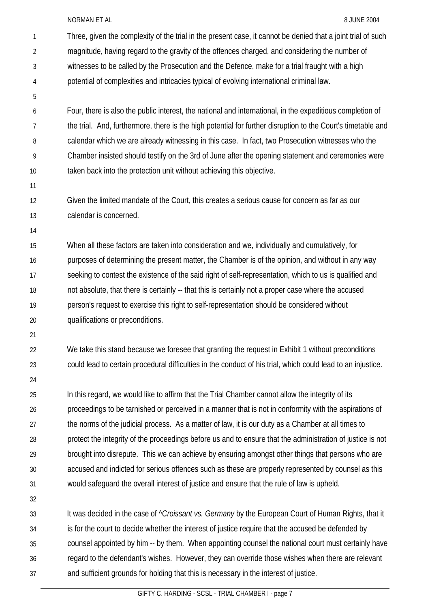NORMAN ET AL 8 JUNE 2004

| 1              | Three, given the complexity of the trial in the present case, it cannot be denied that a joint trial of such |
|----------------|--------------------------------------------------------------------------------------------------------------|
| $\overline{2}$ | magnitude, having regard to the gravity of the offences charged, and considering the number of               |
| 3              | witnesses to be called by the Prosecution and the Defence, make for a trial fraught with a high              |
| 4              | potential of complexities and intricacies typical of evolving international criminal law.                    |
| 5              |                                                                                                              |
| 6              | Four, there is also the public interest, the national and international, in the expeditious completion of    |
| $\overline{7}$ | the trial. And, furthermore, there is the high potential for further disruption to the Court's timetable and |
| 8              | calendar which we are already witnessing in this case. In fact, two Prosecution witnesses who the            |
| 9              | Chamber insisted should testify on the 3rd of June after the opening statement and ceremonies were           |
| 10             | taken back into the protection unit without achieving this objective.                                        |
| 11             |                                                                                                              |
| 12             | Given the limited mandate of the Court, this creates a serious cause for concern as far as our               |
| 13             | calendar is concerned.                                                                                       |
| 14             |                                                                                                              |
| 15             | When all these factors are taken into consideration and we, individually and cumulatively, for               |
| 16             | purposes of determining the present matter, the Chamber is of the opinion, and without in any way            |
| 17             | seeking to contest the existence of the said right of self-representation, which to us is qualified and      |
| 18             | not absolute, that there is certainly -- that this is certainly not a proper case where the accused          |
| 19             | person's request to exercise this right to self-representation should be considered without                  |
| 20             | qualifications or preconditions.                                                                             |
| 21             |                                                                                                              |
| 22             | We take this stand because we foresee that granting the request in Exhibit 1 without preconditions           |
| 23             | could lead to certain procedural difficulties in the conduct of his trial, which could lead to an injustice. |
| 24             |                                                                                                              |
| 25             | In this regard, we would like to affirm that the Trial Chamber cannot allow the integrity of its             |
| 26             | proceedings to be tarnished or perceived in a manner that is not in conformity with the aspirations of       |
| 27             | the norms of the judicial process. As a matter of law, it is our duty as a Chamber at all times to           |
| 28             | protect the integrity of the proceedings before us and to ensure that the administration of justice is not   |
| 29             | brought into disrepute. This we can achieve by ensuring amongst other things that persons who are            |
| 30             | accused and indicted for serious offences such as these are properly represented by counsel as this          |
| 31             | would safeguard the overall interest of justice and ensure that the rule of law is upheld.                   |
| 32             |                                                                                                              |
| 33             | It was decided in the case of " <i>Croissant vs. Germany</i> by the European Court of Human Rights, that it  |
| 34             | is for the court to decide whether the interest of justice require that the accused be defended by           |
| 35             | counsel appointed by him -- by them. When appointing counsel the national court must certainly have          |
| 36             | regard to the defendant's wishes. However, they can override those wishes when there are relevant            |
| 37             | and sufficient grounds for holding that this is necessary in the interest of justice.                        |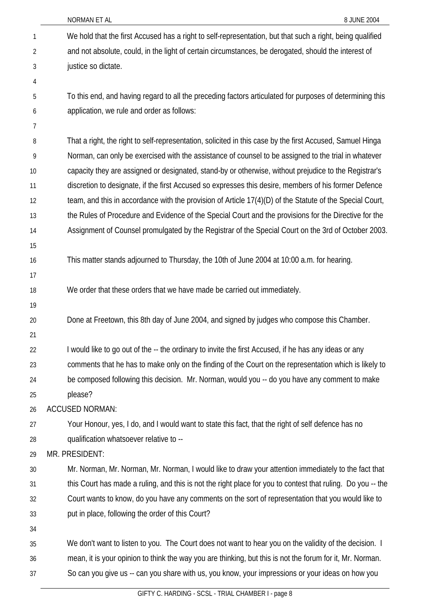|                | NORMAN ET AL<br>8 JUNE 2004                                                                                 |
|----------------|-------------------------------------------------------------------------------------------------------------|
| 1              | We hold that the first Accused has a right to self-representation, but that such a right, being qualified   |
| $\overline{2}$ | and not absolute, could, in the light of certain circumstances, be derogated, should the interest of        |
| 3              | justice so dictate.                                                                                         |
| 4              |                                                                                                             |
| 5              | To this end, and having regard to all the preceding factors articulated for purposes of determining this    |
| 6              | application, we rule and order as follows:                                                                  |
| 7              |                                                                                                             |
| 8              | That a right, the right to self-representation, solicited in this case by the first Accused, Samuel Hinga   |
| 9              | Norman, can only be exercised with the assistance of counsel to be assigned to the trial in whatever        |
| 10             | capacity they are assigned or designated, stand-by or otherwise, without prejudice to the Registrar's       |
| 11             | discretion to designate, if the first Accused so expresses this desire, members of his former Defence       |
| 12             | team, and this in accordance with the provision of Article 17(4)(D) of the Statute of the Special Court,    |
| 13             | the Rules of Procedure and Evidence of the Special Court and the provisions for the Directive for the       |
| 14             | Assignment of Counsel promulgated by the Registrar of the Special Court on the 3rd of October 2003.         |
| 15             |                                                                                                             |
| 16             | This matter stands adjourned to Thursday, the 10th of June 2004 at 10:00 a.m. for hearing.                  |
| 17             |                                                                                                             |
| 18             | We order that these orders that we have made be carried out immediately.                                    |
| 19             |                                                                                                             |
| 20             | Done at Freetown, this 8th day of June 2004, and signed by judges who compose this Chamber.                 |
| 21             |                                                                                                             |
| 22             | I would like to go out of the -- the ordinary to invite the first Accused, if he has any ideas or any       |
| 23             | comments that he has to make only on the finding of the Court on the representation which is likely to      |
| 24             | be composed following this decision. Mr. Norman, would you -- do you have any comment to make               |
| 25             | please?                                                                                                     |
| 26             | <b>ACCUSED NORMAN:</b>                                                                                      |
| 27             | Your Honour, yes, I do, and I would want to state this fact, that the right of self defence has no          |
| 28             | qualification whatsoever relative to --                                                                     |
| 29             | MR. PRESIDENT:                                                                                              |
| 30             | Mr. Norman, Mr. Norman, Mr. Norman, I would like to draw your attention immediately to the fact that        |
| 31             | this Court has made a ruling, and this is not the right place for you to contest that ruling. Do you -- the |
| 32             | Court wants to know, do you have any comments on the sort of representation that you would like to          |
| 33             | put in place, following the order of this Court?                                                            |
| 34             |                                                                                                             |
| 35             | We don't want to listen to you. The Court does not want to hear you on the validity of the decision. I      |
| 36             | mean, it is your opinion to think the way you are thinking, but this is not the forum for it, Mr. Norman.   |
| 37             | So can you give us -- can you share with us, you know, your impressions or your ideas on how you            |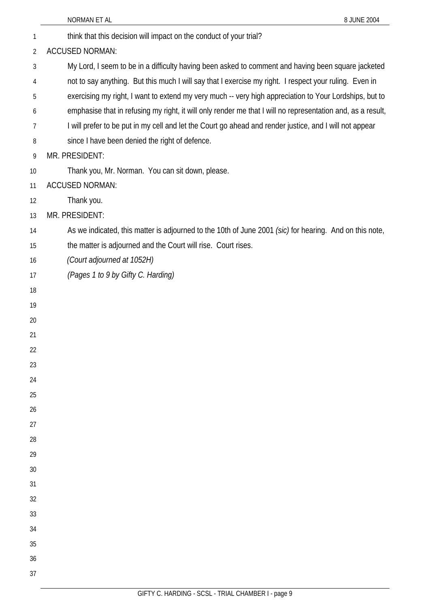|                | 8 JUNE 2004<br>NORMAN ET AL                                                                                 |
|----------------|-------------------------------------------------------------------------------------------------------------|
| 1              | think that this decision will impact on the conduct of your trial?                                          |
| $\overline{2}$ | <b>ACCUSED NORMAN:</b>                                                                                      |
| 3              | My Lord, I seem to be in a difficulty having been asked to comment and having been square jacketed          |
| 4              | not to say anything. But this much I will say that I exercise my right. I respect your ruling. Even in      |
| 5              | exercising my right, I want to extend my very much -- very high appreciation to Your Lordships, but to      |
| 6              | emphasise that in refusing my right, it will only render me that I will no representation and, as a result, |
| 7              | I will prefer to be put in my cell and let the Court go ahead and render justice, and I will not appear     |
| 8              | since I have been denied the right of defence.                                                              |
| 9              | MR. PRESIDENT:                                                                                              |
| 10             | Thank you, Mr. Norman. You can sit down, please.                                                            |
| 11             | <b>ACCUSED NORMAN:</b>                                                                                      |
| 12             | Thank you.                                                                                                  |
| 13             | MR. PRESIDENT:                                                                                              |
| 14             | As we indicated, this matter is adjourned to the 10th of June 2001 (sic) for hearing. And on this note,     |
| 15             | the matter is adjourned and the Court will rise. Court rises.                                               |
| 16             | (Court adjourned at 1052H)                                                                                  |
| 17             | (Pages 1 to 9 by Gifty C. Harding)                                                                          |
| 18             |                                                                                                             |
| 19             |                                                                                                             |
| 20             |                                                                                                             |
| 21             |                                                                                                             |
| 22             |                                                                                                             |
| 23             |                                                                                                             |
| 24             |                                                                                                             |
| 25             |                                                                                                             |
| 26             |                                                                                                             |
| 27<br>28       |                                                                                                             |
| 29             |                                                                                                             |
| 30             |                                                                                                             |
| 31             |                                                                                                             |
| 32             |                                                                                                             |
| 33             |                                                                                                             |
| 34             |                                                                                                             |
| 35             |                                                                                                             |
| 36             |                                                                                                             |
| 37             |                                                                                                             |
|                |                                                                                                             |